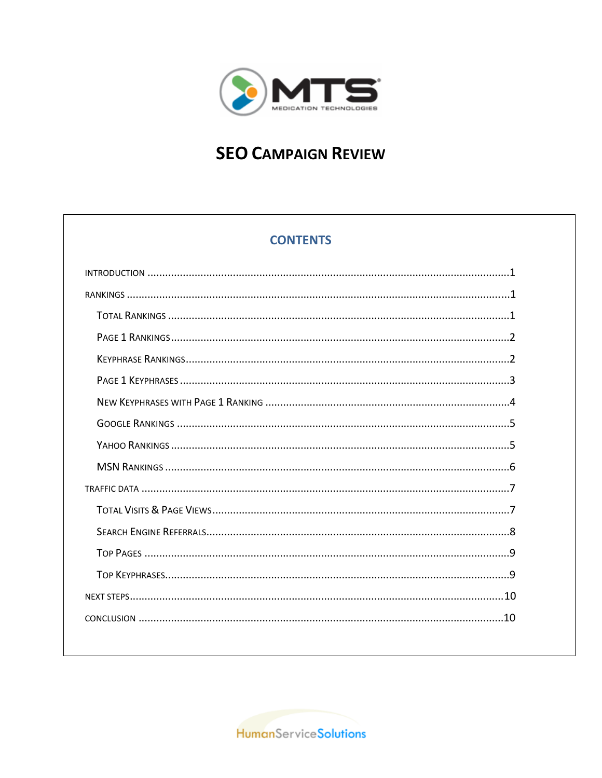

# **SEO CAMPAIGN REVIEW**

## **CONTENTS**

HumanServiceSolutions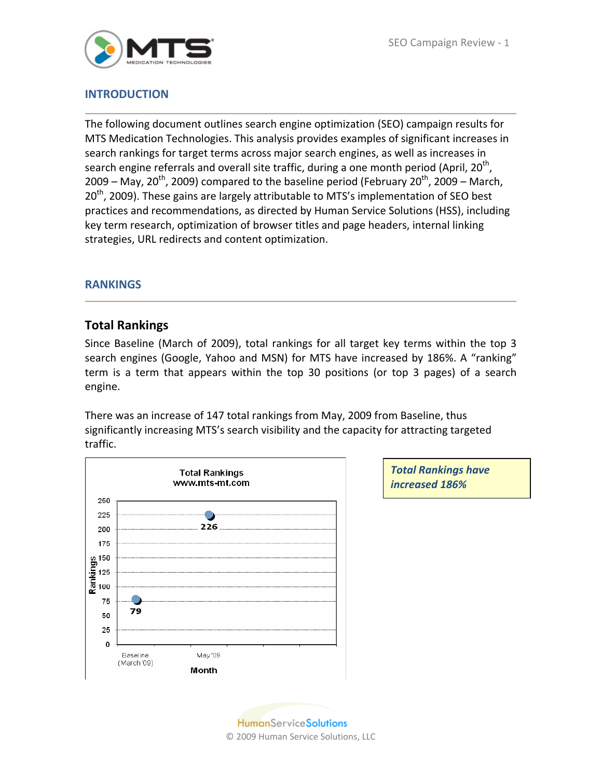

#### **INTRODUCTION**

The following document outlines search engine optimization (SEO) campaign results for MTS Medication Technologies. This analysis provides examples of significant increases in search rankings for target terms across major search engines, as well as increases in search engine referrals and overall site traffic, during a one month period (April,  $20<sup>th</sup>$ , 2009 – May, 20<sup>th</sup>, 2009) compared to the baseline period (February 20<sup>th</sup>, 2009 – March,  $20<sup>th</sup>$ , 2009). These gains are largely attributable to MTS's implementation of SEO best practices and recommendations, as directed by Human Service Solutions (HSS), including key term research, optimization of browser titles and page headers, internal linking strategies, URL redirects and content optimization.

#### **RANKINGS**

#### **Total Rankings**

Since Baseline (March of 2009), total rankings for all target key terms within the top 3 search engines (Google, Yahoo and MSN) for MTS have increased by 186%. A "ranking" term is a term that appears within the top 30 positions (or top 3 pages) of a search engine.

There was an increase of 147 total rankings from May, 2009 from Baseline, thus significantly increasing MTS's search visibility and the capacity for attracting targeted traffic.



*Total Rankings have increased 186%*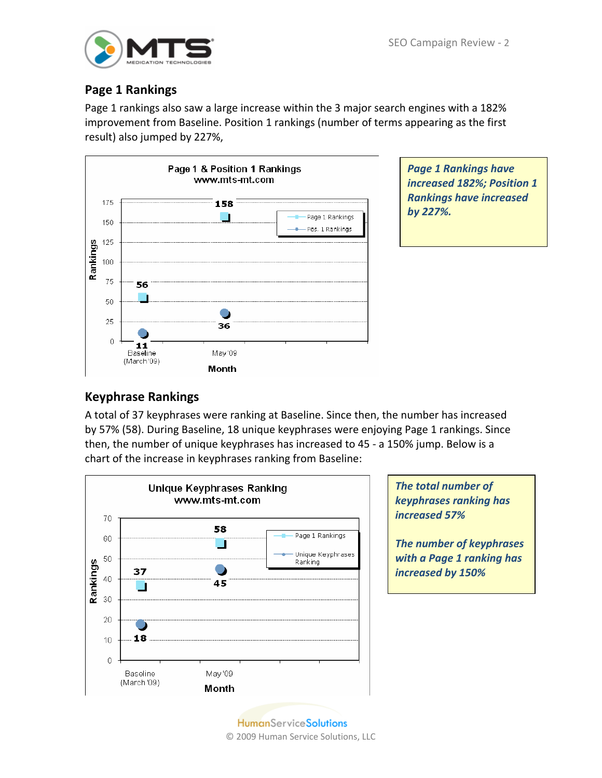

## **Page 1 Rankings**

Page 1 rankings also saw a large increase within the 3 major search engines with a 182% improvement from Baseline. Position 1 rankings (number of terms appearing as the first result) also jumped by 227%,



*Page 1 Rankings have increased 182%; Position 1 Rankings have increased by 227%.*

## **Keyphrase Rankings**

A total of 37 keyphrases were ranking at Baseline. Since then, the number has increased by 57% (58). During Baseline, 18 unique keyphrases were enjoying Page 1 rankings. Since then, the number of unique keyphrases has increased to 45 ‐ a 150% jump. Below is a chart of the increase in keyphrases ranking from Baseline:



*The total number of keyphrases ranking has increased 57%*

*The number of keyphrases with a Page 1 ranking has increased by 150%*

**HumanServiceSolutions** © 2009 Human Service Solutions, LLC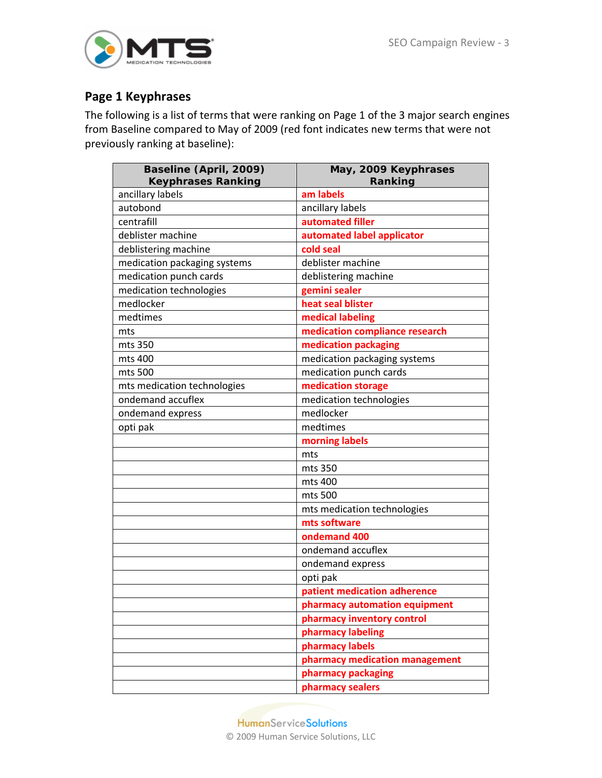

## **Page 1 Keyphrases**

The following is a list of terms that were ranking on Page 1 of the 3 major search engines from Baseline compared to May of 2009 (red font indicates new terms that were not previously ranking at baseline):

| Baseline (April, 2009)<br><b>Keyphrases Ranking</b> | May, 2009 Keyphrases<br>Ranking |  |  |
|-----------------------------------------------------|---------------------------------|--|--|
| ancillary labels                                    | am labels                       |  |  |
| autobond                                            | ancillary labels                |  |  |
| centrafill                                          | automated filler                |  |  |
| deblister machine                                   | automated label applicator      |  |  |
| deblistering machine                                | cold seal                       |  |  |
| medication packaging systems                        | deblister machine               |  |  |
| medication punch cards                              | deblistering machine            |  |  |
| medication technologies                             | gemini sealer                   |  |  |
| medlocker                                           | heat seal blister               |  |  |
| medtimes                                            | medical labeling                |  |  |
| mts                                                 | medication compliance research  |  |  |
| mts 350                                             | medication packaging            |  |  |
| mts 400                                             | medication packaging systems    |  |  |
| mts 500                                             | medication punch cards          |  |  |
| mts medication technologies                         | medication storage              |  |  |
| ondemand accuflex                                   | medication technologies         |  |  |
| ondemand express                                    | medlocker                       |  |  |
| opti pak                                            | medtimes                        |  |  |
|                                                     | morning labels                  |  |  |
|                                                     | mts                             |  |  |
|                                                     | mts 350                         |  |  |
|                                                     | mts 400                         |  |  |
|                                                     | mts 500                         |  |  |
|                                                     | mts medication technologies     |  |  |
|                                                     | mts software                    |  |  |
|                                                     | ondemand 400                    |  |  |
|                                                     | ondemand accuflex               |  |  |
|                                                     | ondemand express                |  |  |
|                                                     | opti pak                        |  |  |
|                                                     | patient medication adherence    |  |  |
|                                                     | pharmacy automation equipment   |  |  |
|                                                     | pharmacy inventory control      |  |  |
|                                                     | pharmacy labeling               |  |  |
|                                                     | pharmacy labels                 |  |  |
|                                                     | pharmacy medication management  |  |  |
|                                                     | pharmacy packaging              |  |  |
|                                                     | pharmacy sealers                |  |  |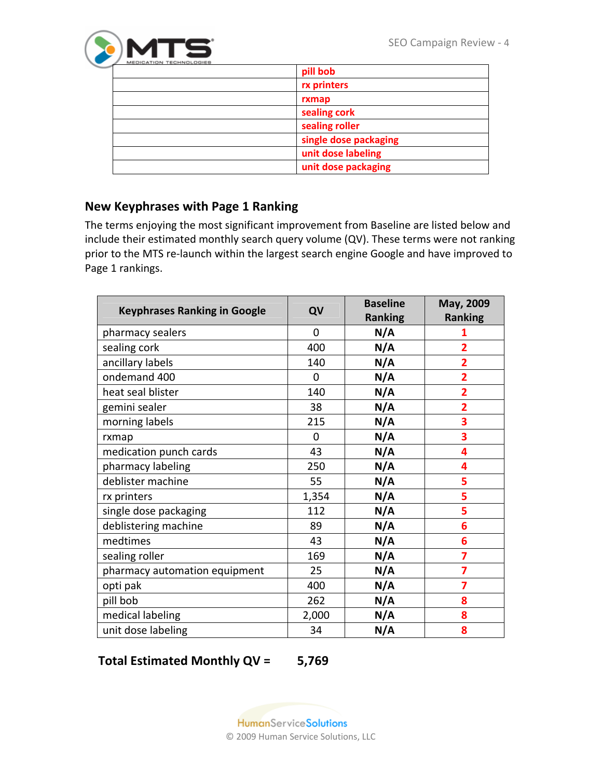

| pill bob              |
|-----------------------|
| rx printers           |
| rxmap                 |
| sealing cork          |
| sealing roller        |
| single dose packaging |
| unit dose labeling    |
| unit dose packaging   |
|                       |

## **New Keyphrases with Page 1 Ranking**

The terms enjoying the most significant improvement from Baseline are listed below and include their estimated monthly search query volume (QV). These terms were not ranking prior to the MTS re‐launch within the largest search engine Google and have improved to Page 1 rankings.

| <b>Keyphrases Ranking in Google</b> | QV             | <b>Baseline</b> | May, 2009               |
|-------------------------------------|----------------|-----------------|-------------------------|
|                                     |                | <b>Ranking</b>  | <b>Ranking</b>          |
| pharmacy sealers                    | 0              | N/A             | 1                       |
| sealing cork                        | 400            | N/A             | 2                       |
| ancillary labels                    | 140            | N/A             | 2                       |
| ondemand 400                        | 0              | N/A             | 2                       |
| heat seal blister                   | 140            | N/A             | $\overline{\mathbf{2}}$ |
| gemini sealer                       | 38             | N/A             | 2                       |
| morning labels                      | 215            | N/A             | 3                       |
| rxmap                               | $\overline{0}$ | N/A             | 3                       |
| medication punch cards              | 43             | N/A             | 4                       |
| pharmacy labeling                   | 250            | N/A             | 4                       |
| deblister machine                   | 55             | N/A             | 5                       |
| rx printers                         | 1,354          | N/A             | 5                       |
| single dose packaging               | 112            | N/A             | 5                       |
| deblistering machine                | 89             | N/A             | 6                       |
| medtimes                            | 43             | N/A             | 6                       |
| sealing roller                      | 169            | N/A             | 7                       |
| pharmacy automation equipment       | 25             | N/A             | 7                       |
| opti pak                            | 400            | N/A             | 7                       |
| pill bob                            | 262            | N/A             | 8                       |
| medical labeling                    | 2,000          | N/A             | 8                       |
| unit dose labeling                  | 34             | N/A             | 8                       |

#### **Total Estimated Monthly QV = 5,769**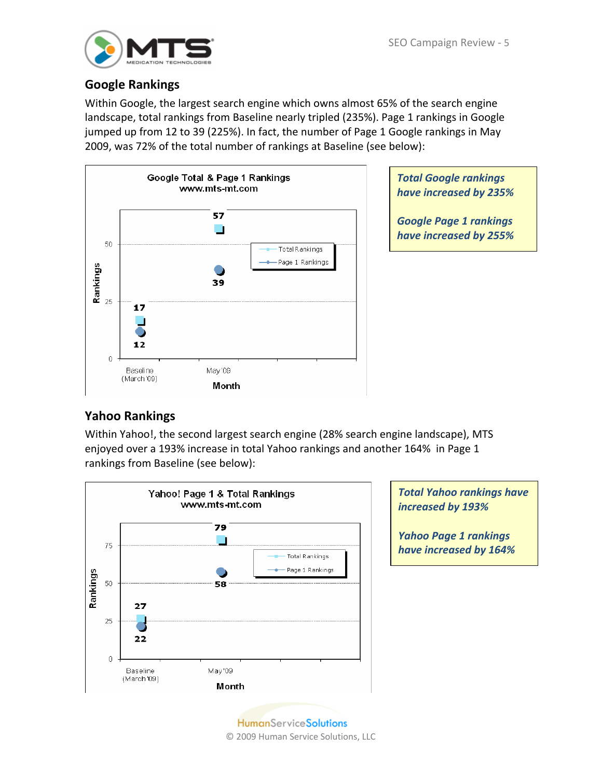

### **Google Rankings**

Within Google, the largest search engine which owns almost 65% of the search engine landscape, total rankings from Baseline nearly tripled (235%). Page 1 rankings in Google jumped up from 12 to 39 (225%). In fact, the number of Page 1 Google rankings in May 2009, was 72% of the total number of rankings at Baseline (see below):



*Total Google rankings have increased by 235%*

*Google Page 1 rankings have increased by 255%*

# **Yahoo Rankings**

Within Yahoo!, the second largest search engine (28% search engine landscape), MTS enjoyed over a 193% increase in total Yahoo rankings and another 164% in Page 1 rankings from Baseline (see below):



*Total Yahoo rankings have increased by 193%*

*Yahoo Page 1 rankings have increased by 164%*

**HumanServiceSolutions** © 2009 Human Service Solutions, LLC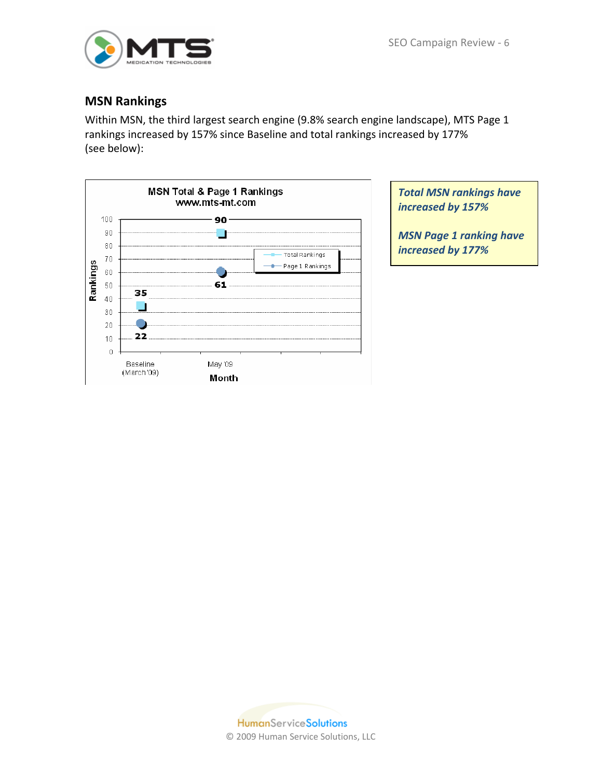

#### **MSN Rankings**

Within MSN, the third largest search engine (9.8% search engine landscape), MTS Page 1 rankings increased by 157% since Baseline and total rankings increased by 177% (see below):



*Total MSN rankings have increased by 157%*

*MSN Page 1 ranking have increased by 177%*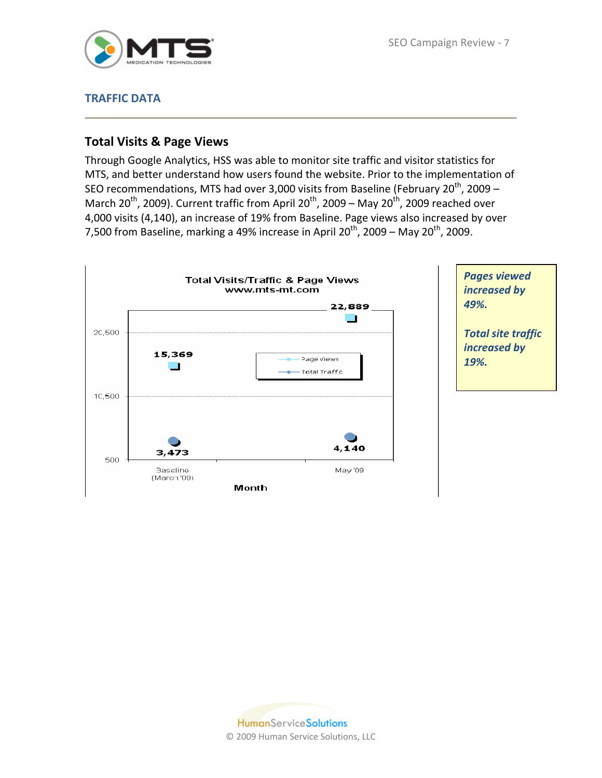

#### **TRAFFIC DATA**

#### **Total Visits & Page Views**

Through Google Analytics, HSS was able to monitor site traffic and visitor statistics for MTS, and better understand how users found the website. Prior to the implementation of SEO recommendations, MTS had over 3,000 visits from Baseline (February 20<sup>th</sup>, 2009 – March 20<sup>th</sup>, 2009). Current traffic from April 20<sup>th</sup>, 2009 – May 20<sup>th</sup>, 2009 reached over 4,000 visits (4,140), an increase of 19% from Baseline. Page views also increased by over 7,500 from Baseline, marking a 49% increase in April  $20^{th}$ , 2009 – May  $20^{th}$ , 2009.

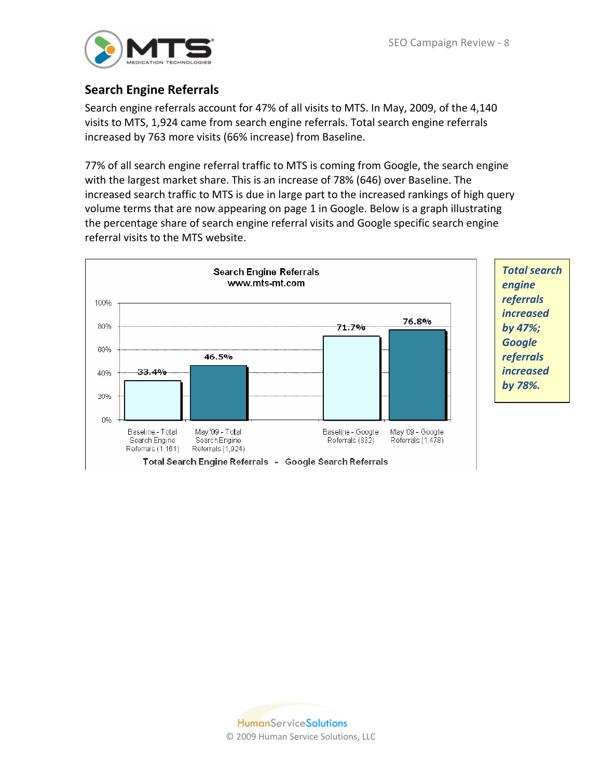

### **Search Engine Referrals**

Search engine referrals account for 47% of all visits to MTS. In May, 2009, of the 4,140 visits to MTS, 1,924 came from search engine referrals. Total search engine referrals increased by 763 more visits (66% increase) from Baseline.

77% of all search engine referral traffic to MTS is coming from Google, the search engine with the largest market share. This is an increase of 78% (646) over Baseline. The increased search traffic to MTS is due in large part to the increased rankings of high query volume terms that are now appearing on page 1 in Google. Below is a graph illustrating the percentage share of search engine referral visits and Google specific search engine referral visits to the MTS website.

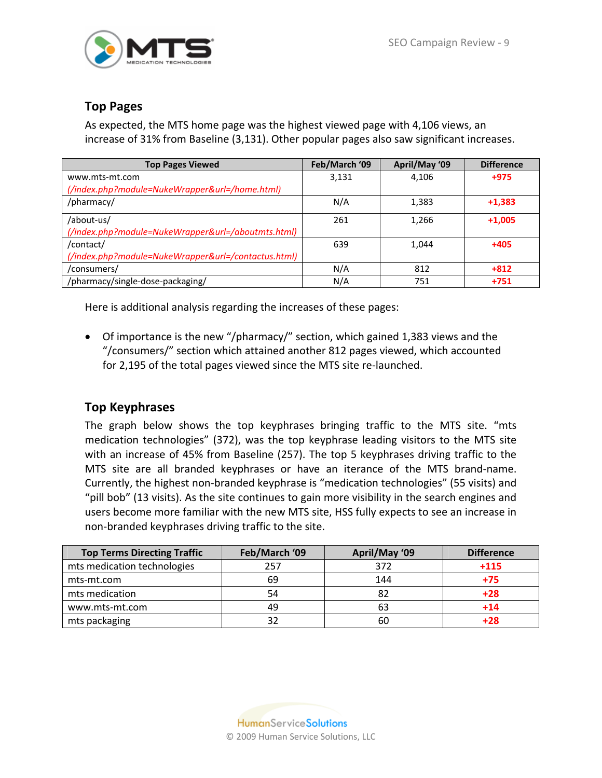

### **Top Pages**

As expected, the MTS home page was the highest viewed page with 4,106 views, an increase of 31% from Baseline (3,131). Other popular pages also saw significant increases.

| <b>Top Pages Viewed</b>                             | Feb/March '09 | April/May '09 | <b>Difference</b> |
|-----------------------------------------------------|---------------|---------------|-------------------|
| www.mts-mt.com                                      | 3,131         | 4,106         | $+975$            |
| (/index.php?module=NukeWrapper&url=/home.html)      |               |               |                   |
| /pharmacy/                                          | N/A           | 1,383         | $+1,383$          |
| /about-us/                                          | 261           | 1,266         | $+1,005$          |
| (/index.php?module=NukeWrapper&url=/aboutmts.html)  |               |               |                   |
| /contact/                                           | 639           | 1,044         | $+405$            |
| (/index.php?module=NukeWrapper&url=/contactus.html) |               |               |                   |
| /consumers/                                         | N/A           | 812           | $+812$            |
| /pharmacy/single-dose-packaging/                    | N/A           | 751           | $+751$            |

Here is additional analysis regarding the increases of these pages:

• Of importance is the new "/pharmacy/" section, which gained 1,383 views and the "/consumers/" section which attained another 812 pages viewed, which accounted for 2,195 of the total pages viewed since the MTS site re‐launched.

### **Top Keyphrases**

The graph below shows the top keyphrases bringing traffic to the MTS site. "mts medication technologies" (372), was the top keyphrase leading visitors to the MTS site with an increase of 45% from Baseline (257). The top 5 keyphrases driving traffic to the MTS site are all branded keyphrases or have an iterance of the MTS brand‐name. Currently, the highest non‐branded keyphrase is "medication technologies" (55 visits) and "pill bob" (13 visits). As the site continues to gain more visibility in the search engines and users become more familiar with the new MTS site, HSS fully expects to see an increase in non‐branded keyphrases driving traffic to the site.

| <b>Top Terms Directing Traffic</b> | Feb/March '09 | April/May '09 | <b>Difference</b> |
|------------------------------------|---------------|---------------|-------------------|
| mts medication technologies        | 257           | 372           | $+115$            |
| mts-mt.com                         | 69            | 144           | $+75$             |
| mts medication                     | 54            | 82            | $+28$             |
| www.mts-mt.com                     | 49            | 63            | $+14$             |
| mts packaging                      | 32            | 60            |                   |